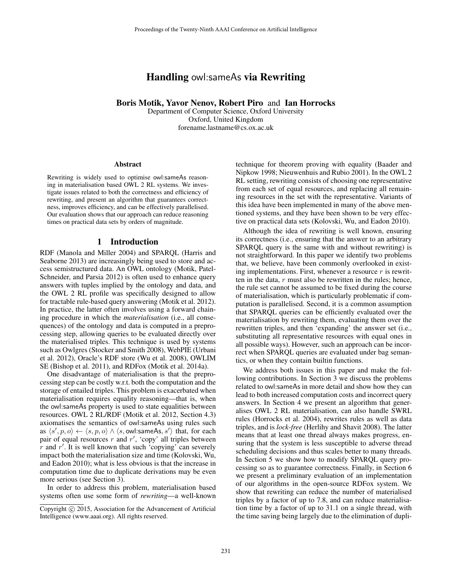# Handling owl:sameAs via Rewriting

Boris Motik, Yavor Nenov, Robert Piro and Ian Horrocks

Department of Computer Science, Oxford University Oxford, United Kingdom forename.lastname@cs.ox.ac.uk

#### Abstract

Rewriting is widely used to optimise owl:sameAs reasoning in materialisation based OWL 2 RL systems. We investigate issues related to both the correctness and efficiency of rewriting, and present an algorithm that guarantees correctness, improves efficiency, and can be effectively parallelised. Our evaluation shows that our approach can reduce reasoning times on practical data sets by orders of magnitude.

### 1 Introduction

RDF (Manola and Miller 2004) and SPARQL (Harris and Seaborne 2013) are increasingly being used to store and access semistructured data. An OWL ontology (Motik, Patel-Schneider, and Parsia 2012) is often used to enhance query answers with tuples implied by the ontology and data, and the OWL 2 RL profile was specifically designed to allow for tractable rule-based query answering (Motik et al. 2012). In practice, the latter often involves using a forward chaining procedure in which the *materialisation* (i.e., all consequences) of the ontology and data is computed in a preprocessing step, allowing queries to be evaluated directly over the materialised triples. This technique is used by systems such as Owlgres (Stocker and Smith 2008), WebPIE (Urbani et al. 2012), Oracle's RDF store (Wu et al. 2008), OWLIM SE (Bishop et al. 2011), and RDFox (Motik et al. 2014a).

One disadvantage of materialisation is that the preprocessing step can be costly w.r.t. both the computation and the storage of entailed triples. This problem is exacerbated when materialisation requires equality reasoning—that is, when the owl:sameAs property is used to state equalities between resources. OWL 2 RL/RDF (Motik et al. 2012, Section 4.3) axiomatises the semantics of owl:sameAs using rules such as  $\langle s', p, o \rangle \leftarrow \langle s, p, o \rangle \wedge \langle s, \text{owl:sameAs}, s' \rangle$  that, for each pair of equal resources  $r$  and  $r'$ , 'copy' all triples between  $\overline{r}$  and  $r'$ . It is well known that such 'copying' can severely impact both the materialisation size and time (Kolovski, Wu, and Eadon 2010); what is less obvious is that the increase in computation time due to duplicate derivations may be even more serious (see Section 3).

In order to address this problem, materialisation based systems often use some form of *rewriting*—a well-known

technique for theorem proving with equality (Baader and Nipkow 1998; Nieuwenhuis and Rubio 2001). In the OWL 2 RL setting, rewriting consists of choosing one representative from each set of equal resources, and replacing all remaining resources in the set with the representative. Variants of this idea have been implemented in many of the above mentioned systems, and they have been shown to be very effective on practical data sets (Kolovski, Wu, and Eadon 2010).

Although the idea of rewriting is well known, ensuring its correctness (i.e., ensuring that the answer to an arbitrary SPARQL query is the same with and without rewriting) is not straightforward. In this paper we identify two problems that, we believe, have been commonly overlooked in existing implementations. First, whenever a resource  $r$  is rewritten in the data,  $r$  must also be rewritten in the rules; hence, the rule set cannot be assumed to be fixed during the course of materialisation, which is particularly problematic if computation is parallelised. Second, it is a common assumption that SPARQL queries can be efficiently evaluated over the materialisation by rewriting them, evaluating them over the rewritten triples, and then 'expanding' the answer set (i.e., substituting all representative resources with equal ones in all possible ways). However, such an approach can be incorrect when SPARQL queries are evaluated under bag semantics, or when they contain builtin functions.

We address both issues in this paper and make the following contributions. In Section 3 we discuss the problems related to owl:sameAs in more detail and show how they can lead to both increased computation costs and incorrect query answers. In Section 4 we present an algorithm that generalises OWL 2 RL materialisation, can also handle SWRL rules (Horrocks et al. 2004), rewrites rules as well as data triples, and is *lock-free* (Herlihy and Shavit 2008). The latter means that at least one thread always makes progress, ensuring that the system is less susceptible to adverse thread scheduling decisions and thus scales better to many threads. In Section 5 we show how to modify SPARQL query processing so as to guarantee correctness. Finally, in Section 6 we present a preliminary evaluation of an implementation of our algorithms in the open-source RDFox system. We show that rewriting can reduce the number of materialised triples by a factor of up to 7.8, and can reduce materialisation time by a factor of up to 31.1 on a single thread, with the time saving being largely due to the elimination of dupli-

Copyright (c) 2015, Association for the Advancement of Artificial Intelligence (www.aaai.org). All rights reserved.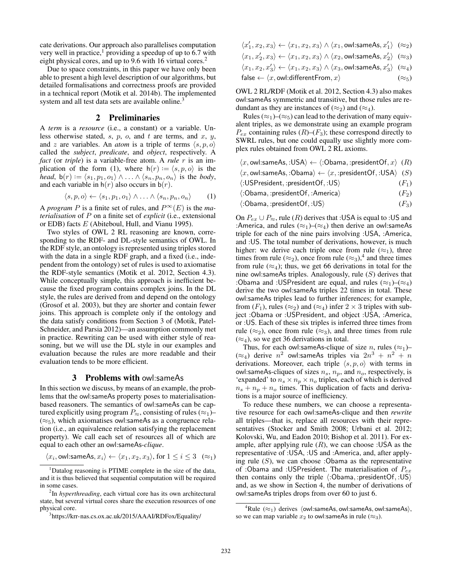cate derivations. Our approach also parallelises computation very well in practice,<sup>1</sup> providing a speedup of up to  $6.7$  with eight physical cores, and up to 9.6 with 16 virtual cores.<sup>2</sup>

Due to space constraints, in this paper we have only been able to present a high level description of our algorithms, but detailed formalisations and correctness proofs are provided in a technical report (Motik et al. 2014b). The implemented system and all test data sets are available online.<sup>3</sup>

## 2 Preliminaries

A *term* is a *resource* (i.e., a constant) or a variable. Unless otherwise stated, s, p, o, and t are terms, and x, y, and z are variables. An *atom* is a triple of terms  $\langle s, p, o \rangle$ called the *subject*, *predicate*, and *object*, respectively. A *fact* (or *triple*) is a variable-free atom. A *rule* r is an implication of the form (1), where  $h(r) := \langle s, p, o \rangle$  is the *head*,  $b(r) := \langle s_1, p_1, o_1 \rangle \wedge \ldots \wedge \langle s_n, p_n, o_n \rangle$  is the *body*, and each variable in  $h(r)$  also occurs in  $b(r)$ .

$$
\langle s, p, o \rangle \leftarrow \langle s_1, p_1, o_1 \rangle \wedge \ldots \wedge \langle s_n, p_n, o_n \rangle \qquad (1)
$$

A *program* P is a finite set of rules, and  $P^{\infty}(E)$  is the *materialisation* of P on a finite set of *explicit* (i.e., extensional or EDB) facts E (Abiteboul, Hull, and Vianu 1995).

Two styles of OWL 2 RL reasoning are known, corresponding to the RDF- and DL-style semantics of OWL. In the RDF style, an ontology is represented using triples stored with the data in a single RDF graph, and a fixed (i.e., independent from the ontology) set of rules is used to axiomatise the RDF-style semantics (Motik et al. 2012, Section 4.3). While conceptually simple, this approach is inefficient because the fixed program contains complex joins. In the DL style, the rules are derived from and depend on the ontology (Grosof et al. 2003), but they are shorter and contain fewer joins. This approach is complete only if the ontology and the data satisfy conditions from Section 3 of (Motik, Patel-Schneider, and Parsia 2012)—an assumption commonly met in practice. Rewriting can be used with either style of reasoning, but we will use the DL style in our examples and evaluation because the rules are more readable and their evaluation tends to be more efficient.

### 3 Problems with owl:sameAs

In this section we discuss, by means of an example, the problems that the owl:sameAs property poses to materialisationbased reasoners. The semantics of owl:sameAs can be captured explicitly using program  $P_{\approx}$ , consisting of rules ( $\approx_1$ )–  $(\approx_5)$ , which axiomatises owl: same As as a congruence relation (i.e., an equivalence relation satisfying the replacement property). We call each set of resources all of which are equal to each other an owl:sameAs-*clique*.

$$
\langle x_i, \text{owl:sameAs}, x_i \rangle \leftarrow \langle x_1, x_2, x_3 \rangle \text{, for } 1 \leq i \leq 3 \quad (\approx_1)
$$

$$
\langle x_1', x_2, x_3\rangle \leftarrow \langle x_1, x_2, x_3\rangle \land \langle x_1, \text{owl:sameAs}, x_1'\rangle \;\;(\approx_2)
$$

$$
\langle x_1,x_2',x_3\rangle\leftarrow \langle x_1,x_2,x_3\rangle \land \langle x_2,\text{owl:sameAs},x_2'\rangle~~(\approx_3)
$$

$$
\langle x_1,x_2,x_3'\rangle\leftarrow \langle x_1,x_2,x_3\rangle \land \langle x_3,\text{owl:sameAs},x_3'\rangle\;\;(\approx_4)
$$

$$
\mathsf{false} \leftarrow \langle x, \mathsf{owl}: \mathsf{differentFrom}, x \rangle \tag{~\approx_5}
$$

OWL 2 RL/RDF (Motik et al. 2012, Section 4.3) also makes owl:sameAs symmetric and transitive, but those rules are redundant as they are instances of  $(\approx_2)$  and  $(\approx_4)$ .

Rules ( $\approx_1$ )–( $\approx_5$ ) can lead to the derivation of many equivalent triples, as we demonstrate using an example program  $P_{ex}$  containing rules  $(R)$ – $(F_3)$ ; these correspond directly to SWRL rules, but one could equally use slightly more complex rules obtained from OWL 2 RL axioms.

| $\langle x, \text{owl:sameAs}, \exists \text{USA} \rangle \leftarrow \langle \text{:Obama}, \exists \text{presentOf}, x \rangle$ (R) |         |
|--------------------------------------------------------------------------------------------------------------------------------------|---------|
| $\langle x, \text{owl:sameAs}, : \text{Obama} \rangle \leftarrow \langle x, : \text{presentOf}, : \text{USA} \rangle$ (S)            |         |
| $\langle$ :USPresident,:presidentOf,:US $\rangle$                                                                                    | $(F_1)$ |
| $\langle$ :Obama, :presidentOf, :America $\rangle$                                                                                   | $(F_2)$ |
| $\langle$ :Obama,:presidentOf,:US)                                                                                                   | $(F_3)$ |
|                                                                                                                                      |         |

On  $P_{ex} \cup P_{\approx}$ , rule  $(R)$  derives that :USA is equal to :US and :America, and rules  $(\approx_1)$ – $(\approx_4)$  then derive an owl:sameAs triple for each of the nine pairs involving :USA, :America, and :US. The total number of derivations, however, is much higher: we derive each triple once from rule  $(\approx_1)$ , three times from rule ( $\approx_2$ ), once from rule ( $\approx_3$ ),<sup>4</sup> and three times from rule  $(\approx_4)$ ; thus, we get 66 derivations in total for the nine owl: sameAs triples. Analogously, rule  $(S)$  derives that :Obama and :USPresident are equal, and rules ( $\approx_1$ )–( $\approx_4$ ) derive the two owl:sameAs triples 22 times in total. These owl:sameAs triples lead to further inferences; for example, from  $(F_1)$ , rules  $(\approx_2)$  and  $(\approx_4)$  infer  $2 \times 3$  triples with subject :Obama or :USPresident, and object :USA, :America, or :US. Each of these six triples is inferred three times from rule ( $\approx_2$ ), once from rule ( $\approx_3$ ), and three times from rule  $(\approx_4)$ , so we get 36 derivations in total.

Thus, for each owl: same As-clique of size *n*, rules  $(\approx_1)$ –  $(\approx_4)$  derive  $n^2$  owl:sameAs triples via  $2n^3 + n^2 + n$ derivations. Moreover, each triple  $\langle s, p, o \rangle$  with terms in owl:sameAs-cliques of sizes  $n_s$ ,  $n_p$ , and  $n_o$ , respectively, is 'expanded' to  $n_s \times n_p \times n_o$  triples, each of which is derived  $n_s + n_p + n_o$  times. This duplication of facts and derivations is a major source of inefficiency.

To reduce these numbers, we can choose a representative resource for each owl:sameAs-clique and then *rewrite* all triples—that is, replace all resources with their representatives (Stocker and Smith 2008; Urbani et al. 2012; Kolovski, Wu, and Eadon 2010; Bishop et al. 2011). For example, after applying rule  $(R)$ , we can choose :USA as the representative of :USA, :US and :America, and, after applying rule  $(S)$ , we can choose :Obama as the representative of :Obama and :USPresident. The materialisation of  $P_{ex}$ then contains only the triple  $\langle :Obama, :presentOf, :US \rangle$ and, as we show in Section 4, the number of derivations of owl:sameAs triples drops from over 60 to just 6.

<sup>&</sup>lt;sup>1</sup>Datalog reasoning is PTIME complete in the size of the data, and it is thus believed that sequential computation will be required in some cases.

<sup>2</sup> In *hyperthreading*, each virtual core has its own architectural state, but several virtual cores share the execution resources of one physical core.

<sup>3</sup> https://krr-nas.cs.ox.ac.uk/2015/AAAI/RDFox/Equality/

<sup>&</sup>lt;sup>4</sup>Rule ( $\approx_1$ ) derives  $\langle$  owl:sameAs, owl:sameAs, owl:sameAs $\rangle$ , so we can map variable  $x_2$  to owl: same As in rule ( $\approx_3$ ).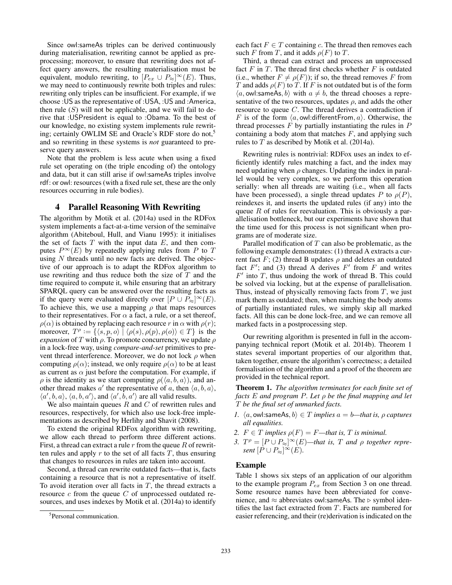Since owl:sameAs triples can be derived continuously during materialisation, rewriting cannot be applied as preprocessing; moreover, to ensure that rewriting does not affect query answers, the resulting materialisation must be equivalent, modulo rewriting, to  $[P_{ex} \cup P_{\approx}]^{\infty}(E)$ . Thus, we may need to continuously rewrite both triples and rules: rewriting only triples can be insufficient. For example, if we choose :US as the representative of :USA, :US and :America, then rule  $(S)$  will not be applicable, and we will fail to derive that :USPresident is equal to :Obama. To the best of our knowledge, no existing system implements rule rewriting; certainly OWLIM SE and Oracle's RDF store do not,<sup>5</sup> and so rewriting in these systems is *not* guaranteed to preserve query answers.

Note that the problem is less acute when using a fixed rule set operating on (the triple encoding of) the ontology and data, but it can still arise if owl:sameAs triples involve rdf: or owl: resources (with a fixed rule set, these are the only resources occurring in rule bodies).

## 4 Parallel Reasoning With Rewriting

The algorithm by Motik et al. (2014a) used in the RDFox system implements a fact-at-a-time version of the seminaïve algorithm (Abiteboul, Hull, and Vianu 1995): it initialises the set of facts  $T$  with the input data  $E$ , and then computes  $P^{\infty}(E)$  by repeatedly applying rules from P to T using  $N$  threads until no new facts are derived. The objective of our approach is to adapt the RDFox algorithm to use rewriting and thus reduce both the size of  $T$  and the time required to compute it, while ensuring that an arbitrary SPARQL query can be answered over the resulting facts as if the query were evaluated directly over  $[P \cup P_{\approx}]^{\infty}(E)$ . To achieve this, we use a mapping  $\rho$  that maps resources to their representatives. For  $\alpha$  a fact, a rule, or a set thereof,  $\rho(\alpha)$  is obtained by replacing each resource r in  $\alpha$  with  $\rho(r)$ ; moreover,  $T^{\rho} := \{ \langle s, p, o \rangle \mid \langle \rho(s), \rho(p), \rho(o) \rangle \in T \}$  is the *expansion* of T with  $\rho$ . To promote concurrency, we update  $\rho$ in a lock-free way, using *compare-and-set* primitives to prevent thread interference. Moreover, we do not lock  $\rho$  when computing  $\rho(\alpha)$ ; instead, we only require  $\rho(\alpha)$  to be at least as current as  $\alpha$  just before the computation. For example, if  $\rho$  is the identity as we start computing  $\rho(\langle a, b, a \rangle)$ , and another thread makes a' the representative of a, then  $\langle a, b, a \rangle$ ,  $\langle a', b, a \rangle$ ,  $\langle a, b, a' \rangle$ , and  $\langle a', b, a' \rangle$  are all valid results.

We also maintain queues  $R$  and  $C$  of rewritten rules and resources, respectively, for which also use lock-free implementations as described by Herlihy and Shavit (2008).

To extend the original RDFox algorithm with rewriting, we allow each thread to perform three different actions. First, a thread can extract a rule  $r$  from the queue  $R$  of rewritten rules and apply  $r$  to the set of all facts  $T$ , thus ensuring that changes to resources in rules are taken into account.

Second, a thread can rewrite outdated facts—that is, facts containing a resource that is not a representative of itself. To avoid iteration over all facts in  $T$ , the thread extracts a resource  $c$  from the queue  $C$  of unprocessed outdated resources, and uses indexes by Motik et al. (2014a) to identify each fact  $F \in T$  containing c. The thread then removes each such F from T, and it adds  $\rho(F)$  to T.

Third, a thread can extract and process an unprocessed fact  $F$  in  $T$ . The thread first checks whether  $F$  is outdated (i.e., whether  $F \neq \rho(F)$ ); if so, the thread removes F from T and adds  $\rho(F)$  to T. If F is not outdated but is of the form  $\langle a, \text{owl:sameAs}, b \rangle$  with  $a \neq b$ , the thread chooses a representative of the two resources, updates  $\rho$ , and adds the other resource to queue C. The thread derives a contradiction if F is of the form  $\langle a, \text{owl:differentFrom}, a \rangle$ . Otherwise, the thread processes  $\overline{F}$  by partially instantiating the rules in  $\overline{P}$ containing a body atom that matches  $F$ , and applying such rules to  $T$  as described by Motik et al. (2014a).

Rewriting rules is nontrivial: RDFox uses an index to efficiently identify rules matching a fact, and the index may need updating when  $\rho$  changes. Updating the index in parallel would be very complex, so we perform this operation serially: when all threads are waiting (i.e., when all facts have been processed), a single thread updates P to  $\rho(P)$ , reindexes it, and inserts the updated rules (if any) into the queue  $R$  of rules for reevaluation. This is obviously a parallelisation bottleneck, but our experiments have shown that the time used for this process is not significant when programs are of moderate size.

Parallel modification of  $T$  can also be problematic, as the following example demonstrates: (1) thread A extracts a current fact  $F$ ; (2) thread B updates  $\rho$  and deletes an outdated fact  $F'$ ; and (3) thread A derives  $F'$  from F and writes  $F'$  into  $T$ , thus undoing the work of thread B. This could be solved via locking, but at the expense of parallelisation. Thus, instead of physically removing facts from  $T$ , we just mark them as outdated; then, when matching the body atoms of partially instantiated rules, we simply skip all marked facts. All this can be done lock-free, and we can remove all marked facts in a postprocessing step.

Our rewriting algorithm is presented in full in the accompanying technical report (Motik et al. 2014b). Theorem 1 states several important properties of our algorithm that, taken together, ensure the algorithm's correctness; a detailed formalisation of the algorithm and a proof of the theorem are provided in the technical report.

Theorem 1. *The algorithm terminates for each finite set of facts* E *and program* P*. Let* ρ *be the final mapping and let* T *be the final set of unmarked facts.*

- *1.*  $\langle a, \text{ow} \rangle$ :sameAs,  $b \rangle \in T$  *implies*  $a = b$ —that is,  $\rho$  *captures all equalities.*
- 2.  $F \in T$  *implies*  $\rho(F) = F$ —that *is*, *T is minimal.*
- *3.*  $T^{\rho} = [P \cup P_{\approx}]^{\infty}(E)$ —that is, T and  $\rho$  together repre*sent*  $[P \cup P_{\approx}]^{\infty}(E)$ *.*

#### Example

Table 1 shows six steps of an application of our algorithm to the example program  $P_{ex}$  from Section 3 on one thread. Some resource names have been abbreviated for convenience, and  $\approx$  abbreviates owl:sameAs. The  $\triangleright$  symbol identifies the last fact extracted from T. Facts are numbered for easier referencing, and their (re)derivation is indicated on the

<sup>5</sup> Personal communication.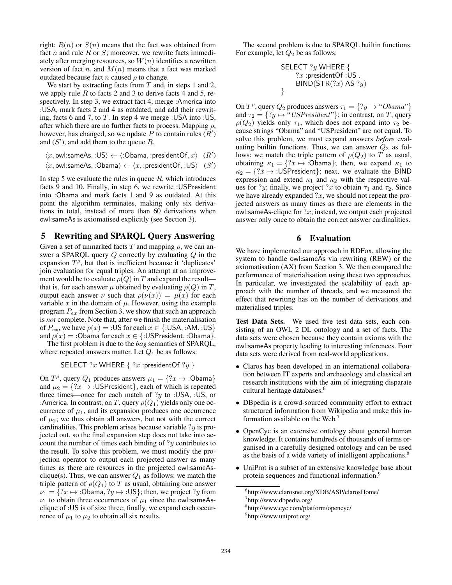right:  $R(n)$  or  $S(n)$  means that the fact was obtained from fact n and rule  $R$  or  $S$ ; moreover, we rewrite facts immediately after merging resources, so  $W(n)$  identifies a rewritten version of fact n, and  $M(n)$  means that a fact was marked outdated because fact  $n$  caused  $\rho$  to change.

We start by extracting facts from  $T$  and, in steps 1 and 2, we apply rule  $R$  to facts 2 and 3 to derive facts 4 and 5, respectively. In step 3, we extract fact 4, merge :America into :USA, mark facts 2 and 4 as outdated, and add their rewriting, facts 6 and 7, to T. In step 4 we merge :USA into :US, after which there are no further facts to process. Mapping  $\rho$ , however, has changed, so we update P to contain rules  $(R)$ and  $(S')$ , and add them to the queue R.

 $\langle x, \text{owl:sameAs}, : \text{US} \rangle \leftarrow \langle : \text{Obama}, : \text{presentOf}, x \rangle$  (R')

$$
\langle x, \text{owl:sameAs}, : \text{Obama} \rangle \leftarrow \langle x, : \text{presentOf}, : \text{US} \rangle \quad (S')
$$

In step 5 we evaluate the rules in queue  $R$ , which introduces facts 9 and 10. Finally, in step 6, we rewrite :USPresident into :Obama and mark facts 1 and 9 as outdated. At this point the algorithm terminates, making only six derivations in total, instead of more than 60 derivations when owl:sameAs is axiomatised explicitly (see Section 3).

# 5 Rewriting and SPARQL Query Answering

Given a set of unmarked facts T and mapping  $\rho$ , we can answer a SPARQL query  $Q$  correctly by evaluating  $Q$  in the expansion  $T^{\rho}$ , but that is inefficient because it 'duplicates' join evaluation for equal triples. An attempt at an improvement would be to evaluate  $\rho(Q)$  in T and expand the result that is, for each answer  $\mu$  obtained by evaluating  $\rho(Q)$  in T, output each answer  $\nu$  such that  $\rho(\nu(x)) = \mu(x)$  for each variable  $x$  in the domain of  $\mu$ . However, using the example program  $P_{ex}$  from Section 3, we show that such an approach is *not* complete. Note that, after we finish the materialisation of  $P_{ex}$ , we have  $\rho(x) = 0.15$  for each  $x \in \{0.15, 0.34, 0.05\}$ and  $\rho(x) = 0$ bama for each  $x \in \{0.15\}$ resident,  $0.05$ bama}.

The first problem is due to the *bag* semantics of SPARQL, where repeated answers matter. Let  $Q_1$  be as follows:

SELECT  $?x$  WHERE  $\{ ?x : \text{presidentOf } ?y \}$ 

On  $T^{\rho}$ , query  $Q_1$  produces answers  $\mu_1 = \{?x \mapsto : \text{Obama}\}\$ and  $\mu_2 = \{?x \mapsto :$ USPresident}, each of which is repeated three times—once for each match of  $?y$  to :USA, :US, or :America. In contrast, on T, query  $\rho(Q_1)$  yields only one occurrence of  $\mu_1$ , and its expansion produces one occurrence of  $\mu_2$ ; we thus obtain all answers, but not with the correct cardinalities. This problem arises because variable  $?y$  is projected out, so the final expansion step does not take into account the number of times each binding of  $?y$  contributes to the result. To solve this problem, we must modify the projection operator to output each projected answer as many times as there are resources in the projected owl:sameAsclique(s). Thus, we can answer  $Q_1$  as follows: we match the triple pattern of  $\rho(Q_1)$  to T as usual, obtaining one answer  $\nu_1 = \{?x \mapsto : \text{Obama}, ?y \mapsto :US\}$ ; then, we project ?y from  $\nu_1$  to obtain three occurrences of  $\mu_1$  since the owl:sameAsclique of :US is of size three; finally, we expand each occurrence of  $\mu_1$  to  $\mu_2$  to obtain all six results.

The second problem is due to SPARQL builtin functions. For example, let  $Q_2$  be as follows:

SELECT ?y WHERE { ?x :presidentOf :US . BIND(STR(?x) AS ?y) }

On  $T^{\rho}$ , query  $Q_2$  produces answers  $\tau_1 = \{?y \mapsto "Obama"\}$ and  $\tau_2 = \{?y \mapsto ``USPresident"\}$ ; in contrast, on T, query  $\rho(Q_2)$  yields only  $\tau_1$ , which does not expand into  $\tau_2$  because strings "Obama" and "USPresident" are not equal. To solve this problem, we must expand answers *before* evaluating builtin functions. Thus, we can answer  $Q_2$  as follows: we match the triple pattern of  $\rho(Q_2)$  to T as usual, obtaining  $\kappa_1 = \{?x \mapsto : \text{Obama}\};$  then, we expand  $\kappa_1$  to  $\kappa_2 = \{?x \mapsto : \text{USPresident}\}\;$ ; next, we evaluate the BIND expression and extend  $\kappa_1$  and  $\kappa_2$  with the respective values for ?y; finally, we project ?x to obtain  $\tau_1$  and  $\tau_2$ . Since we have already expanded  $?x$ , we should not repeat the projected answers as many times as there are elements in the owl: same As-clique for  $?x$ ; instead, we output each projected answer only once to obtain the correct answer cardinalities.

# 6 Evaluation

We have implemented our approach in RDFox, allowing the system to handle owl:sameAs via rewriting (REW) or the axiomatisation (AX) from Section 3. We then compared the performance of materialisation using these two approaches. In particular, we investigated the scalability of each approach with the number of threads, and we measured the effect that rewriting has on the number of derivations and materialised triples.

Test Data Sets. We used five test data sets, each consisting of an OWL 2 DL ontology and a set of facts. The data sets were chosen because they contain axioms with the owl:sameAs property leading to interesting inferences. Four data sets were derived from real-world applications.

- Claros has been developed in an international collaboration between IT experts and archaeology and classical art research institutions with the aim of integrating disparate cultural heritage databases.<sup>6</sup>
- DBpedia is a crowd-sourced community effort to extract structured information from Wikipedia and make this information available on the Web.<sup>7</sup>
- OpenCyc is an extensive ontology about general human knowledge. It contains hundreds of thousands of terms organised in a carefully designed ontology and can be used as the basis of a wide variety of intelligent applications.<sup>8</sup>
- UniProt is a subset of an extensive knowledge base about protein sequences and functional information.<sup>9</sup>

<sup>6</sup> http://www.clarosnet.org/XDB/ASP/clarosHome/

<sup>&</sup>lt;sup>7</sup>http://www.dbpedia.org/

<sup>8</sup> http://www.cyc.com/platform/opencyc/

<sup>&</sup>lt;sup>9</sup>http://www.uniprot.org/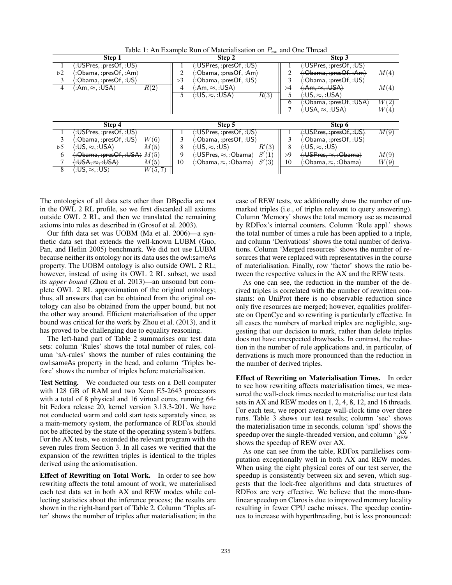| Table 1: An Example Run of Materialisation on $P_{ex}$ and One Thread |  |
|-----------------------------------------------------------------------|--|
|-----------------------------------------------------------------------|--|

|                | Step 1                                                                    |                                                                  | Step 2                                                       |                    | Step 3                                          |                   |
|----------------|---------------------------------------------------------------------------|------------------------------------------------------------------|--------------------------------------------------------------|--------------------|-------------------------------------------------|-------------------|
|                | $\langle$ :USPres, :presOf, :US $\rangle$                                 |                                                                  | $\langle$ :USPres, :presOf, :US $\rangle$                    |                    | $\langle$ :USPres, :presOf, :US $\rangle$       |                   |
| >2             | $\langle$ :Obama, :presOf, :Am $\rangle$                                  |                                                                  | $\langle$ :Obama, :presOf, :Am $\rangle$                     |                    | $\langle$ :Obama, :presOf, :Am $\rangle$        | M(4)              |
| 3              | $\langle$ :Obama, :presOf, :US $\rangle$                                  | $\triangleright$ 3                                               | $\langle$ :Obama, :presOf, :US $\rangle$                     |                    | $\langle$ :Obama, :presOf, :US $\rangle$        |                   |
| $\overline{4}$ | (:Am, ≈, :USA)<br>R(2)                                                    | $\langle$ :Am, $\approx$ , :USA $\rangle$<br>4                   |                                                              | $\triangleright$ 4 | $\langle :Am,\approx, :USA\rangle$              | M(4)              |
|                |                                                                           | $\langle \ : \mathsf{US} , \approx_\circ : \mathsf{USA} \rangle$ | R(3)                                                         |                    | $\langle$ :US, $\approx$ , :USA)                |                   |
|                |                                                                           |                                                                  |                                                              | 6                  | $\langle$ :Obama, :presOf, :USA)                | $\overline{W(2)}$ |
|                |                                                                           |                                                                  |                                                              |                    | $\langle$ :USA, $\approx$ , :USA $\rangle$      | W(4)              |
|                |                                                                           |                                                                  |                                                              |                    |                                                 |                   |
|                | Step 4                                                                    |                                                                  | Step 5                                                       |                    | Step 6                                          |                   |
|                | $\langle:$ USPres,:presOf,:US $\rangle$                                   |                                                                  | $\langle$ :USPres, :pres $\mathsf{Of}, \mathsf{:US} \rangle$ |                    | $\langle$ :USPres, :presOf, :US $\rangle$       | M(9)              |
| 3              | $\langle$ :Obama, :presOf, :US $\rangle$<br>W(6)                          |                                                                  | $\langle$ :Obama, :pres $\mathsf{Of}, \mathsf{:US}\rangle$   |                    | $\langle$ :Obama, :presOf, :US $\rangle$        |                   |
| >5             | $\langle :US, \approx, :USA \rangle$<br>M(5)                              | $\langle$ :US, $\approx$ , :US $\rangle$<br>8                    | R'(3)                                                        | 8                  | $\langle$ :US, $\approx$ , :US $\rangle$        |                   |
| 6              | $\langle : \text{Obama}, : \text{presOf}, : \text{USA} \rangle M(5)$      | 9                                                                | S'(1)<br>$\langle$ :USPres, $\approx$ , :Obama $\rangle$     | ⊳9                 | $\langle$ :USPres, $\approx$ , :Obama $\rangle$ | M(9)              |
|                | $\langle \cdot \mathsf{USA}, \approx, \cdot \mathsf{USA} \rangle$<br>M(5) | 10                                                               | S'(3)<br>$\langle$ :Obama, $\approx$ , :Obama $\rangle$      | 10                 | $\langle$ :Obama, $\approx$ , :Obama $\rangle$  | W(9)              |
| 8              | $\langle$ :US, $\approx$ . :US $\rangle$<br>W(5,7)                        |                                                                  |                                                              |                    |                                                 |                   |

The ontologies of all data sets other than DBpedia are not in the OWL 2 RL profile, so we first discarded all axioms outside OWL 2 RL, and then we translated the remaining axioms into rules as described in (Grosof et al. 2003).

Our fifth data set was UOBM (Ma et al. 2006)—a synthetic data set that extends the well-known LUBM (Guo, Pan, and Heflin 2005) benchmark. We did not use LUBM because neither its ontology nor its data uses the owl:sameAs property. The UOBM ontology is also outside OWL 2 RL; however, instead of using its OWL 2 RL subset, we used its *upper bound* (Zhou et al. 2013)—an unsound but complete OWL 2 RL approximation of the original ontology; thus, all answers that can be obtained from the original ontology can also be obtained from the upper bound, but not the other way around. Efficient materialisation of the upper bound was critical for the work by Zhou et al. (2013), and it has proved to be challenging due to equality reasoning.

The left-hand part of Table 2 summarises our test data sets: column 'Rules' shows the total number of rules, column 'sA-rules' shows the number of rules containing the owl:sameAs property in the head, and column 'Triples before' shows the number of triples before materialisation.

Test Setting. We conducted our tests on a Dell computer with 128 GB of RAM and two Xeon E5-2643 processors with a total of 8 physical and 16 virtual cores, running 64 bit Fedora release 20, kernel version 3.13.3-201. We have not conducted warm and cold start tests separately since, as a main-memory system, the performance of RDFox should not be affected by the state of the operating system's buffers. For the AX tests, we extended the relevant program with the seven rules from Section 3. In all cases we verified that the expansion of the rewritten triples is identical to the triples derived using the axiomatisation.

Effect of Rewriting on Total Work. In order to see how rewriting affects the total amount of work, we materialised each test data set in both AX and REW modes while collecting statistics about the inference process; the results are shown in the right-hand part of Table 2. Column 'Triples after' shows the number of triples after materialisation; in the

case of REW tests, we additionally show the number of unmarked triples (i.e., of triples relevant to query answering). Column 'Memory' shows the total memory use as measured by RDFox's internal counters. Column 'Rule appl.' shows the total number of times a rule has been applied to a triple, and column 'Derivations' shows the total number of derivations. Column 'Merged resources' shows the number of resources that were replaced with representatives in the course of materialisation. Finally, row 'factor' shows the ratio between the respective values in the AX and the REW tests.

As one can see, the reduction in the number of the derived triples is correlated with the number of rewritten constants: on UniProt there is no observable reduction since only five resources are merged; however, equalities proliferate on OpenCyc and so rewriting is particularly effective. In all cases the numbers of marked triples are negligible, suggesting that our decision to mark, rather than delete triples does not have unexpected drawbacks. In contrast, the reduction in the number of rule applications and, in particular, of derivations is much more pronounced than the reduction in the number of derived triples.

Effect of Rewriting on Materialisation Times. In order to see how rewriting affects materialisation times, we measured the wall-clock times needed to materialise our test data sets in AX and REW modes on 1, 2, 4, 8, 12, and 16 threads. For each test, we report average wall-clock time over three runs. Table 3 shows our test results; column 'sec' shows the materialisation time in seconds, column 'spd' shows the speedup over the single-threaded version, and column  $\frac{AX}{REW}$ shows the speedup of REW over AX.

As one can see from the table, RDFox parallelises computation exceptionally well in both AX and REW modes. When using the eight physical cores of our test server, the speedup is consistently between six and seven, which suggests that the lock-free algorithms and data structures of RDFox are very effective. We believe that the more-thanlinear speedup on Claros is due to improved memory locality resulting in fewer CPU cache misses. The speedup continues to increase with hyperthreading, but is less pronounced: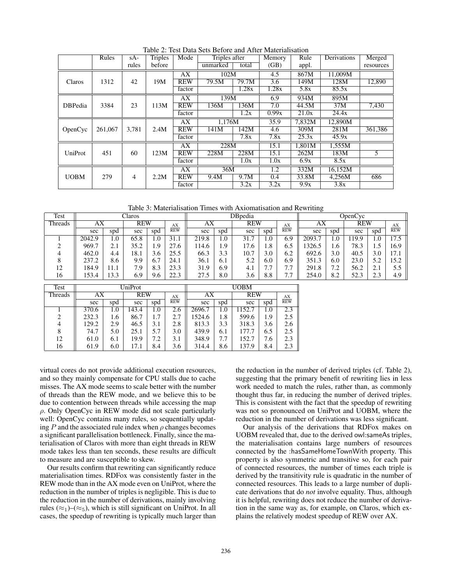|             | Rules   | $sA-$ | <b>Triples</b> | Mode       | Triples after |       | Memory | Rule   | Derivations | Merged    |
|-------------|---------|-------|----------------|------------|---------------|-------|--------|--------|-------------|-----------|
|             |         | rules | before         |            | unmarked      | total | (GB)   | appl.  |             | resources |
|             |         |       |                | AX         | 102M          |       | 4.5    | 867M   | 11.009M     |           |
| Claros      | 1312    | 42    | 19M            | <b>REW</b> | 79.5M         | 79.7M | 3.6    | 149M   | 128M        | 12,890    |
|             |         |       |                | factor     |               | 1.28x | 1.28x  | 5.8x   | 85.5x       |           |
|             |         |       |                | AX         | 139M          |       | 6.9    | 934M   | 895M        |           |
| DBPedia     | 3384    | 23    | 113M           | <b>REW</b> | 136M          | 136M  | 7.0    | 44.5M  | 37M         | 7,430     |
|             |         |       |                | factor     |               | 1.2x  | 0.99x  | 21.0x  | 24.4x       |           |
|             |         |       |                | AX         | 1.176M        |       | 35.9   | 7.832M | 12.890M     |           |
| OpenCyc     | 261,067 | 3,781 | 2.4M           | <b>REW</b> | 141M          | 142M  | 4.6    | 309M   | 281M        | 361,386   |
|             |         |       |                | factor     |               | 7.8x  | 7.8x   | 25.3x  | 45.9x       |           |
|             |         |       |                | AX         | 228M          |       | 15.1   | 1.801M | 1,555M      |           |
| UniProt     | 451     | 60    | 123M           | <b>REW</b> | 228M          | 228M  | 15.1   | 262M   | 183M        | 5         |
|             |         |       |                | factor     |               | 1.0x  | 1.0x   | 6.9x   | 8.5x        |           |
|             |         |       |                | AX         | 36M           |       | 1.2    | 332M   | 16,152M     |           |
| <b>UOBM</b> | 279     | 4     | 2.2M           | <b>REW</b> | 9.4M          | 9.7M  | 0.4    | 33.8M  | 4,256M      | 686       |
|             |         |       |                | factor     |               | 3.2x  | 3.2x   | 9.9x   | 3.8x        |           |

Table 2: Test Data Sets Before and After Materialisation

Table 3: Materialisation Times with Axiomatisation and Rewriting

| Test             | Claros |      |                             |     |      | DBpedia      |     |            |          | OpenCyc |        |                  |      |     |                   |  |    |
|------------------|--------|------|-----------------------------|-----|------|--------------|-----|------------|----------|---------|--------|------------------|------|-----|-------------------|--|----|
| Threads          | АX     |      | <b>REW</b>                  |     | AX   | АX           |     | <b>REW</b> |          |         |        | $\frac{AX}{REW}$ | AX   |     | <b>REW</b>        |  | AX |
|                  | sec    | spd  | sec                         | spd | REW  | sec          | spd | sec        | spd      |         | sec    | spd              | sec  | spd | <b>REW</b>        |  |    |
|                  | 2042.9 | 1.0  | 65.8                        | 0.1 | 31.1 | 219.8        | 0.1 | 31.7       | 0.1      | 6.9     | 2093.7 | 0.1              | 19.9 | 1.0 | $\overline{17.5}$ |  |    |
| ◠                | 969.7  | 2.1  | 35.2                        | i.9 | 27.6 | 114.6        | . 9 | 17.6       | 1.8      | 6.5     | 1326.5 | . 6              | 78.3 | 1.5 | 16.9              |  |    |
|                  | 462.0  | 4.4  | 18.1                        | 3.6 | 25.5 | 66.3         | 3.3 | 10.7       | 3.0      | 6.2     | 692.6  | 3.0              | 40.5 | 3.0 | 17.1              |  |    |
|                  | 237.2  | 8.6  | 9.9                         | 6.7 | 24.1 | 36.1         | 6.1 | 5.2        | 6.0      | 6.9     | 351.3  | 6.0              | 23.0 | 5.2 | 15.2              |  |    |
| 12               | 184.9  | 11.1 | 7.9                         | 8.3 | 23.3 | 31.9         | 6.9 | 4.1        | −<br>1.7 | 7.7     | 291.8  | 7.2              | 56.2 | 2.1 | 5.5               |  |    |
| 16               | 153.4  | 13.3 | 6.9                         | 9.6 | 22.3 | 27.5         | 8.0 | 3.6        | 8.8      | 7.7     | 254.0  | 8.2              | 52.3 | 2.3 | 4.9               |  |    |
| Ta <sub>cf</sub> |        |      | $\overline{\text{IniPart}}$ |     |      | <b>TIORM</b> |     |            |          |         |        |                  |      |     |                   |  |    |

| Test           |                     |     | UniProt    |     | <b>UOBM</b> |        |                     |       |            |     |                  |
|----------------|---------------------|-----|------------|-----|-------------|--------|---------------------|-------|------------|-----|------------------|
| <b>Threads</b> | $\overline{\rm AX}$ |     | <b>REW</b> |     |             | AX     | $\overline{\rm AX}$ |       | <b>REW</b> |     | $\frac{AX}{REW}$ |
|                | sec                 | spd | sec        | spd | <b>REW</b>  | sec    | spd                 | sec   | spd        |     |                  |
|                | 370.6               | 1.0 | 143.4      | 1.0 | 2.6         | 2696.7 | 1.0                 | 152.7 | 1.0        | 2.3 |                  |
| 2              | 232.3               | 1.6 | 86.7       | 1.7 |             | 1524.6 | 1.8                 | 599.6 | 1.9        | 2.5 |                  |
| 4              | 129.2               | 2.9 | 46.5       | 3.1 | 2.8         | 813.3  | 3.3                 | 318.3 | 3.6        | 2.6 |                  |
| 8              | 74.7                | 5.0 | 25.1       | 5.7 | 3.0         | 439.9  | 6.1                 | 177.7 | 6.5        | 2.5 |                  |
| 12             | 61.0                | 6.1 | 19.9       | 7.2 | 3.1         | 348.9  | 7.7                 | 152.7 | 7.6        | 2.3 |                  |
| 16             | 61.9                | 6.0 | 17.1       | 8.4 | 3.6         | 314.4  | 8.6                 | 137.9 | 8.4        | 2.3 |                  |

virtual cores do not provide additional execution resources, and so they mainly compensate for CPU stalls due to cache misses. The AX mode seems to scale better with the number of threads than the REW mode, and we believe this to be due to contention between threads while accessing the map  $\rho$ . Only OpenCyc in REW mode did not scale particularly well: OpenCyc contains many rules, so sequentially updating P and the associated rule index when  $\rho$  changes becomes a significant parallelisation bottleneck. Finally, since the materialisation of Claros with more than eight threads in REW mode takes less than ten seconds, these results are difficult to measure and are susceptible to skew.

Our results confirm that rewriting can significantly reduce materialisation times. RDFox was consistently faster in the REW mode than in the AX mode even on UniProt, where the reduction in the number of triples is negligible. This is due to the reduction in the number of derivations, mainly involving rules ( $\approx_1$ )–( $\approx_5$ ), which is still significant on UniProt. In all cases, the speedup of rewriting is typically much larger than

the reduction in the number of derived triples (cf. Table 2), suggesting that the primary benefit of rewriting lies in less work needed to match the rules, rather than, as commonly thought thus far, in reducing the number of derived triples. This is consistent with the fact that the speedup of rewriting was not so pronounced on UniProt and UOBM, where the reduction in the number of derivations was less significant.

Our analysis of the derivations that RDFox makes on UOBM revealed that, due to the derived owl:sameAs triples, the materialisation contains large numbers of resources connected by the :hasSameHomeTownWith property. This property is also symmetric and transitive so, for each pair of connected resources, the number of times each triple is derived by the transitivity rule is quadratic in the number of connected resources. This leads to a large number of duplicate derivations that do *not* involve equality. Thus, although it is helpful, rewriting does not reduce the number of derivation in the same way as, for example, on Claros, which explains the relatively modest speedup of REW over AX.